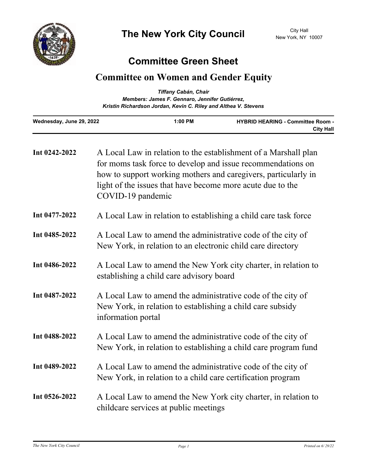

## **Committee Green Sheet**

## **Committee on Women and Gender Equity**

|                                                                 | Tiffany Cabán, Chair                           |                                                              |  |
|-----------------------------------------------------------------|------------------------------------------------|--------------------------------------------------------------|--|
|                                                                 | Members: James F. Gennaro, Jennifer Gutiérrez, |                                                              |  |
| Kristin Richardson Jordan, Kevin C. Riley and Althea V. Stevens |                                                |                                                              |  |
| Wednesday, June 29, 2022                                        | $1:00$ PM                                      | <b>HYBRID HEARING - Committee Room -</b><br><b>City Hall</b> |  |

| Int 0242-2022 | A Local Law in relation to the establishment of a Marshall plan<br>for moms task force to develop and issue recommendations on<br>how to support working mothers and caregivers, particularly in<br>light of the issues that have become more acute due to the<br>COVID-19 pandemic |
|---------------|-------------------------------------------------------------------------------------------------------------------------------------------------------------------------------------------------------------------------------------------------------------------------------------|
| Int 0477-2022 | A Local Law in relation to establishing a child care task force                                                                                                                                                                                                                     |
| Int 0485-2022 | A Local Law to amend the administrative code of the city of<br>New York, in relation to an electronic child care directory                                                                                                                                                          |
| Int 0486-2022 | A Local Law to amend the New York city charter, in relation to<br>establishing a child care advisory board                                                                                                                                                                          |
| Int 0487-2022 | A Local Law to amend the administrative code of the city of<br>New York, in relation to establishing a child care subsidy<br>information portal                                                                                                                                     |
| Int 0488-2022 | A Local Law to amend the administrative code of the city of<br>New York, in relation to establishing a child care program fund                                                                                                                                                      |
| Int 0489-2022 | A Local Law to amend the administrative code of the city of<br>New York, in relation to a child care certification program                                                                                                                                                          |
| Int 0526-2022 | A Local Law to amend the New York city charter, in relation to<br>childcare services at public meetings                                                                                                                                                                             |